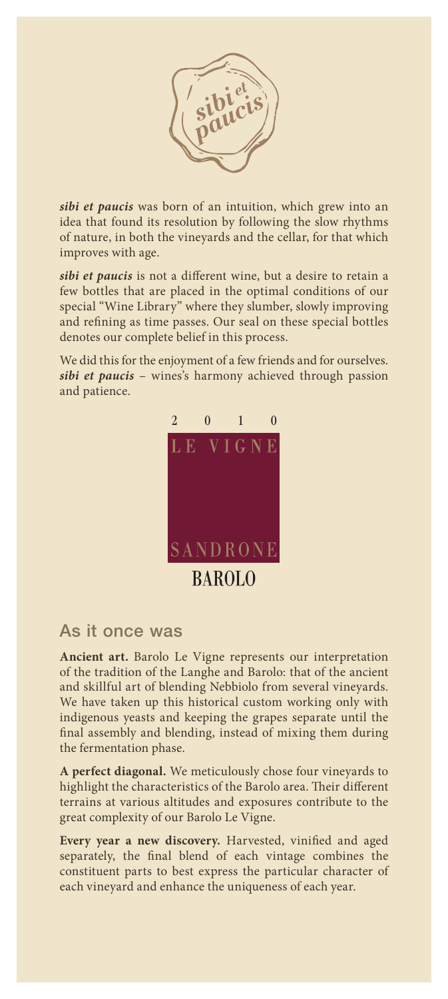

*sibi et paucis* was born of an intuition, which grew into an idea that found its resolution by following the slow rhythms of nature, in both the vineyards and the cellar, for that which improves with age.

*sibi et paucis* is not a different wine, but a desire to retain a few bottles that are placed in the optimal conditions of our special "Wine Library" where they slumber, slowly improving and refining as time passes. Our seal on these special bottles denotes our complete belief in this process.

We did this for the enjoyment of a few friends and for ourselves. *sibi et paucis* – wines's harmony achieved through passion and patience.



## As it once was

**Ancient art.** Barolo Le Vigne represents our interpretation of the tradition of the Langhe and Barolo: that of the ancient and skillful art of blending Nebbiolo from several vineyards. We have taken up this historical custom working only with indigenous yeasts and keeping the grapes separate until the final assembly and blending, instead of mixing them during the fermentation phase.

**A perfect diagonal.** We meticulously chose four vineyards to highlight the characteristics of the Barolo area. Their different terrains at various altitudes and exposures contribute to the great complexity of our Barolo Le Vigne.

**Every year a new discovery.** Harvested, vinified and aged separately, the final blend of each vintage combines the constituent parts to best express the particular character of each vineyard and enhance the uniqueness of each year.